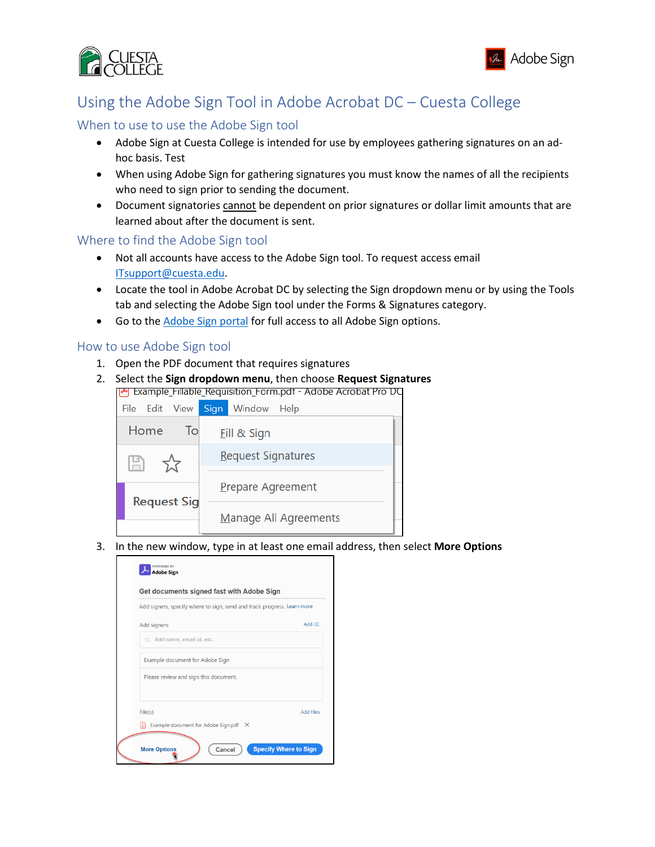



# Using the Adobe Sign Tool in Adobe Acrobat DC – Cuesta College

# When to use to use the Adobe Sign tool

- Adobe Sign at Cuesta College is intended for use by employees gathering signatures on an adhoc basis. Test
- When using Adobe Sign for gathering signatures you must know the names of all the recipients who need to sign prior to sending the document.
- Document signatories cannot be dependent on prior signatures or dollar limit amounts that are learned about after the document is sent.

### Where to find the Adobe Sign tool

- Not all accounts have access to the Adobe Sign tool. To request access email [ITsupport@cuesta.edu.](mailto:ITsupport@cuesta.edu)
- Locate the tool in Adobe Acrobat DC by selecting the Sign dropdown menu or by using the Tools tab and selecting the Adobe Sign tool under the Forms & Signatures category.
- Go to th[e Adobe Sign portal](https://auth.services.adobe.com/en_US/deeplink.html?deeplink=ssofirst&callback=https%3A%2F%2Fims-na1.adobelogin.com%2Fims%2Fadobeid%2FEchoSign2%2FAdobeID%2Fcode%3Fredirect_uri%3Dhttps%253A%252F%252Fgps.echosign.com%252Fpublic%252FadobeIDLogin%253Fserver%253Ddocuments.adobe.com%2526port%253D443&client_id=EchoSign2&scope=openid%2CAdobeID%2CDCAPI%2Cadditional_info.account_type%2Cskybox%2Cupdate_profile.first_name%2Cupdate_profile.last_name%2Cagreement_send%2Cagreement_sign%2Csign_library_write%2Csign_user_read%2Csign_user_write%2Cagreement_read%2Cagreement_write%2Cwidget_read%2Cwidget_write%2Cworkflow_read%2Cworkflow_write%2Csign_library_read%2Cadditional_info.projectedProductContext%2Csign_webhook_read%2Csign_webhook_write%2Csign_webhook_retention%2Csao.ACOM_ESIGN_TRIAL%2Cee.GROUP_SIGN_WEB&denied_callback=https%3A%2F%2Fims-na1.adobelogin.com%2Fims%2Fdenied%2FEchoSign2%3Fredirect_uri%3Dhttps%253A%252F%252Fgps.echosign.com%252Fpublic%252FadobeIDLogin%253Fserver%253Ddocuments.adobe.com%2526port%253D443%26response_type%3Dcode&relay=a2415006-a8fd-4e77-bed5-4d5162f29f61&locale=en_US&flow_type=code&ctx_id=Adobe_Sign&idp_flow_type=login#/) for full access to all Adobe Sign options.

## How to use Adobe Sign tool

- 1. Open the PDF document that requires signatures
- 2. Select the **Sign dropdown menu**, then choose **Request Signatures** Example\_Fillable\_Requisition\_Form.pdf - Adobe Acrobat Pro DC



3. In the new window, type in at least one email address, then select **More Options**

| Add signers, specify where to sign, send and track progress. Learn more |                  |
|-------------------------------------------------------------------------|------------------|
| Add signers                                                             | Add CC           |
| $Q$ Add name, email id, etc.                                            |                  |
| Example document for Adobe Sign                                         |                  |
| Please review and sign this document.                                   |                  |
| File(s)                                                                 | <b>Add Files</b> |
| IŁ)<br>Example document for Adobe Sign.pdf $\times$                     |                  |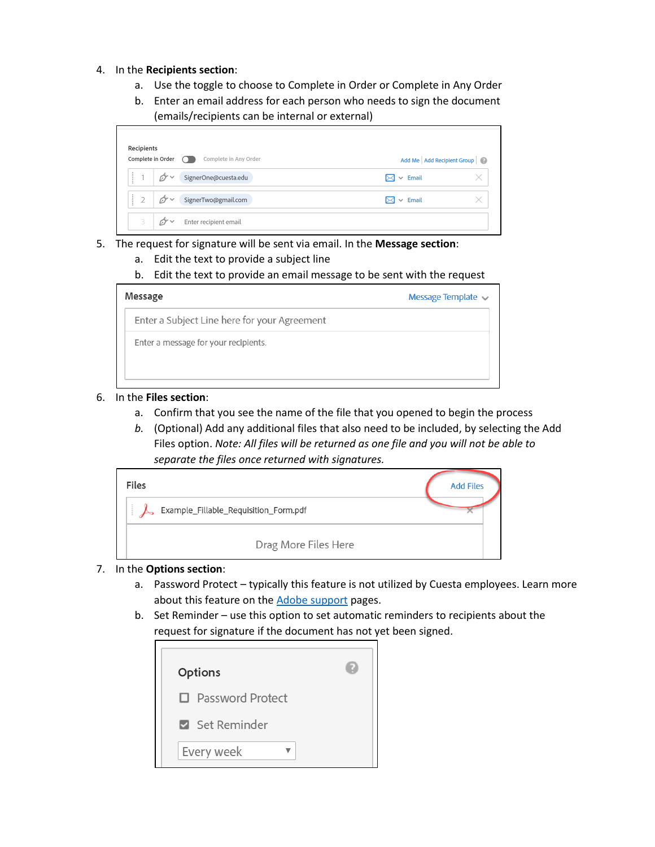- 4. In the **Recipients section**:
	- a. Use the toggle to choose to Complete in Order or Complete in Any Order
	- b. Enter an email address for each person who needs to sign the document (emails/recipients can be internal or external)



- 5. The request for signature will be sent via email. In the **Message section**:
	- a. Edit the text to provide a subject line
	- b. Edit the text to provide an email message to be sent with the request

| Message                                      | Message Template |
|----------------------------------------------|------------------|
| Enter a Subject Line here for your Agreement |                  |
| Enter a message for your recipients.         |                  |

### 6. In the **Files section**:

- a. Confirm that you see the name of the file that you opened to begin the process
- *b.* (Optional) Add any additional files that also need to be included, by selecting the Add Files option. *Note: All files will be returned as one file and you will not be able to separate the files once returned with signatures.*



### 7. In the **Options section**:

- a. Password Protect typically this feature is not utilized by Cuesta employees. Learn more about this feature on th[e Adobe support](https://helpx.adobe.com/sign/using/get-started-guide.html#Sending) pages.
- b. Set Reminder use this option to set automatic reminders to recipients about the request for signature if the document has not yet been signed.

| <b>Options</b>     |  |
|--------------------|--|
| □ Password Protect |  |
| Set Reminder       |  |
| Every week         |  |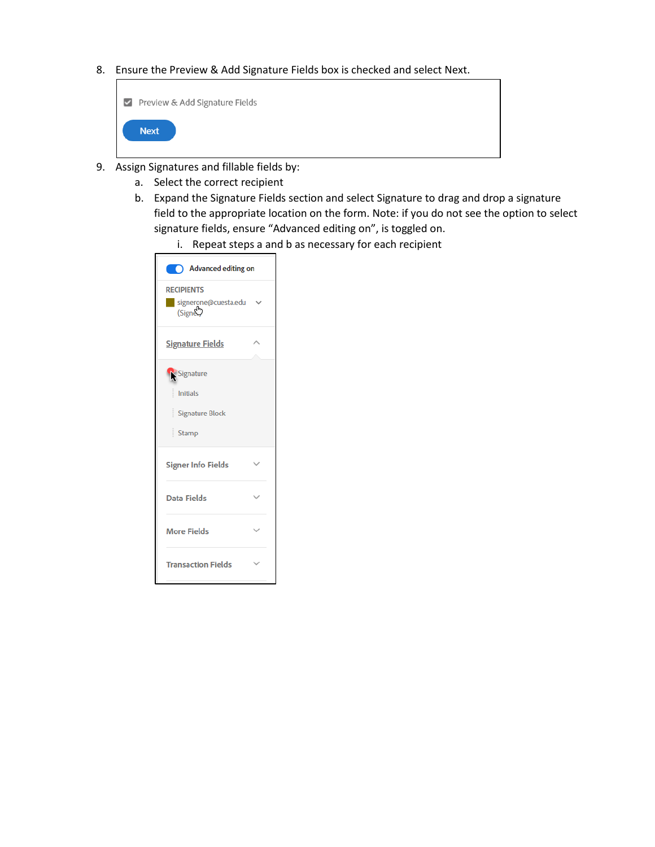8. Ensure the Preview & Add Signature Fields box is checked and select Next.

| Preview & Add Signature Fields |
|--------------------------------|
| <b>Next</b>                    |

- 9. Assign Signatures and fillable fields by:
	- a. Select the correct recipient
	- b. Expand the Signature Fields section and select Signature to drag and drop a signature field to the appropriate location on the form. Note: if you do not see the option to select signature fields, ensure "Advanced editing on", is toggled on.
		- i. Repeat steps a and b as necessary for each recipient

| Advanced editing on                                                  |              |
|----------------------------------------------------------------------|--------------|
| <b>RECIPIENTS</b><br>signerone@cuesta.edu<br>(SignE)                 |              |
| <b>Signature Fields</b>                                              |              |
| Signature<br><b>Initials</b><br><b>Signature Block</b><br>į<br>Stamp |              |
| <b>Signer Info Fields</b>                                            |              |
| <b>Data Fields</b>                                                   |              |
| <b>More Fields</b>                                                   | $\checkmark$ |
| <b>Transaction Fields</b>                                            |              |